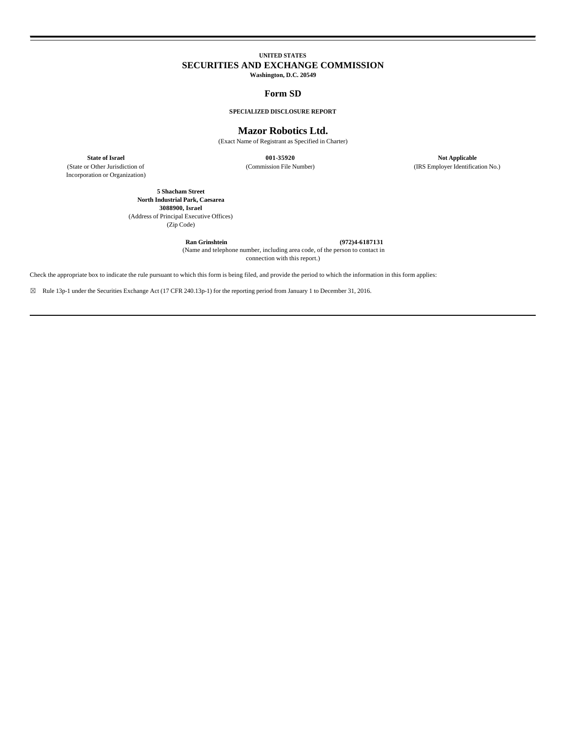# **UNITED STATES SECURITIES AND EXCHANGE COMMISSION**

**Washington, D.C. 20549**

## **Form SD**

## **SPECIALIZED DISCLOSURE REPORT**

## **Mazor Robotics Ltd.**

(Exact Name of Registrant as Specified in Charter)

(State or Other Jurisdiction of Incorporation or Organization)

**State of Israel Of Applicable 001-35920 Not Applicable 15920 Not Applicable 15920 Not Applicable 15920 Not Applicable 15920 (Commission File Number) 15920 (IRS Employer Identifical** (IRS Employer Identification No.)

**5 Shacham Street North Industrial Park, Caesarea 3088900, Israel** (Address of Principal Executive Offices) (Zip Code)

**Ran Grinshtein (972)4-6187131**

 (Name and telephone number, including area code, of the person to contact in connection with this report.)

Check the appropriate box to indicate the rule pursuant to which this form is being filed, and provide the period to which the information in this form applies:

☒ Rule 13p-1 under the Securities Exchange Act (17 CFR 240.13p-1) for the reporting period from January 1 to December 31, 2016.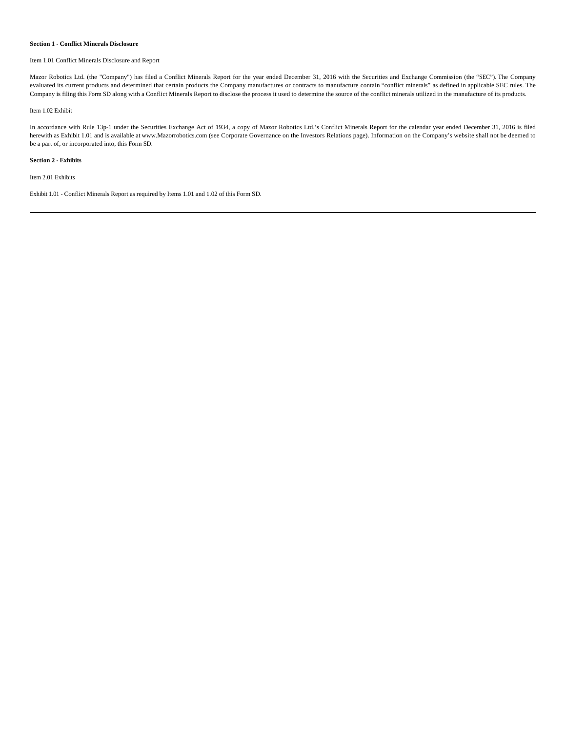#### **Section 1 - Conflict Minerals Disclosure**

## Item 1.01 Conflict Minerals Disclosure and Report

Mazor Robotics Ltd. (the "Company") has filed a Conflict Minerals Report for the year ended December 31, 2016 with the Securities and Exchange Commission (the "SEC"). The Company evaluated its current products and determined that certain products the Company manufactures or contracts to manufacture contain "conflict minerals" as defined in applicable SEC rules. The Company is filing this Form SD along with a Conflict Minerals Report to disclose the process it used to determine the source of the conflict minerals utilized in the manufacture of its products.

## Item 1.02 Exhibit

In accordance with Rule 13p-1 under the Securities Exchange Act of 1934, a copy of Mazor Robotics Ltd.'s Conflict Minerals Report for the calendar year ended December 31, 2016 is filed herewith as Exhibit 1.01 and is available at www.Mazorrobotics.com (see Corporate Governance on the Investors Relations page). Information on the Company's website shall not be deemed to be a part of, or incorporated into, this Form SD.

#### **Section 2 - Exhibits**

Item 2.01 Exhibits

Exhibit 1.01 - Conflict Minerals Report as required by Items 1.01 and 1.02 of this Form SD.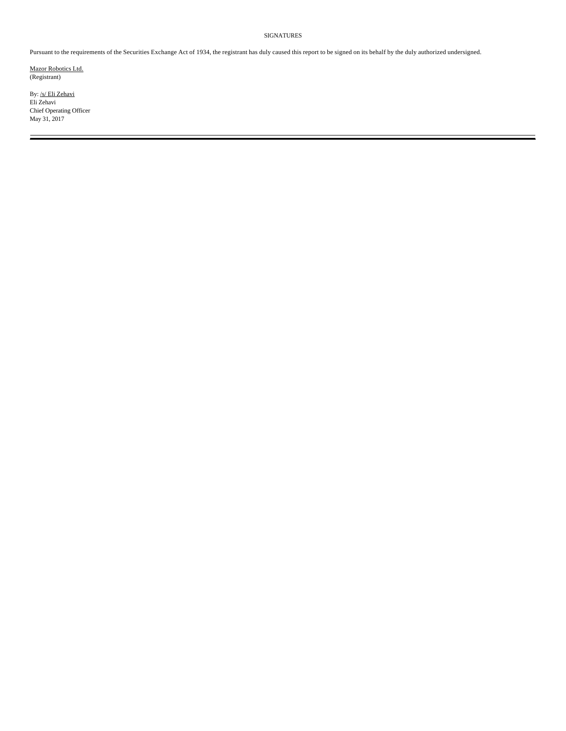## SIGNATURES

Pursuant to the requirements of the Securities Exchange Act of 1934, the registrant has duly caused this report to be signed on its behalf by the duly authorized undersigned.

Mazor Robotics Ltd. (Registrant)

By: /s/ Eli Zehavi Eli Zehavi Chief Operating Officer May 31, 2017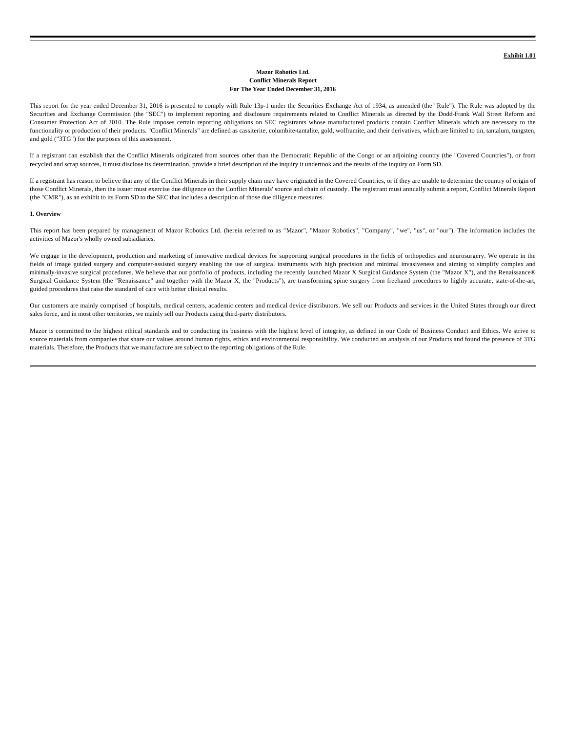#### **Mazor Robotics Ltd. Conflict Minerals Report For The Year Ended December 31, 2016**

This report for the year ended December 31, 2016 is presented to comply with Rule 13p-1 under the Securities Exchange Act of 1934, as amended (the "Rule"). The Rule was adopted by the Securities and Exchange Commission (the "SEC") to implement reporting and disclosure requirements related to Conflict Minerals as directed by the Dodd-Frank Wall Street Reform and Consumer Protection Act of 2010. The Rule imposes certain reporting obligations on SEC registrants whose manufactured products contain Conflict Minerals which are necessary to the functionality or production of their products. "Conflict Minerals" are defined as cassiterite, columbite-tantalite, gold, wolframite, and their derivatives, which are limited to tin, tantalum, tungsten, and gold ("3TG") for the purposes of this assessment.

If a registrant can establish that the Conflict Minerals originated from sources other than the Democratic Republic of the Congo or an adjoining country (the "Covered Countries"), or from recycled and scrap sources, it must disclose its determination, provide a brief description of the inquiry it undertook and the results of the inquiry on Form SD.

If a registrant has reason to believe that any of the Conflict Minerals in their supply chain may have originated in the Covered Countries, or if they are unable to determine the country of origin of those Conflict Minerals, then the issuer must exercise due diligence on the Conflict Minerals' source and chain of custody. The registrant must annually submit a report, Conflict Minerals Report (the "CMR"), as an exhibit to its Form SD to the SEC that includes a description of those due diligence measures.

#### **1. Overview**

This report has been prepared by management of Mazor Robotics Ltd. (herein referred to as "Mazor", "Mazor Robotics", "Company", "we", "us", or "our"). The information includes the activities of Mazor's wholly owned subsidiaries.

We engage in the development, production and marketing of innovative medical devices for supporting surgical procedures in the fields of orthopedics and neurosurgery. We operate in the fields of image guided surgery and computer-assisted surgery enabling the use of surgical instruments with high precision and minimal invasiveness and aiming to simplify complex and minimally-invasive surgical procedures. We believe that our portfolio of products, including the recently launched Mazor X Surgical Guidance System (the "Mazor X"), and the Renaissance® Surgical Guidance System (the "Renaissance" and together with the Mazor X, the "Products"), are transforming spine surgery from freehand procedures to highly accurate, state-of-the-art, guided procedures that raise the standard of care with better clinical results.

Our customers are mainly comprised of hospitals, medical centers, academic centers and medical device distributors. We sell our Products and services in the United States through our direct sales force, and in most other territories, we mainly sell our Products using third-party distributors.

Mazor is committed to the highest ethical standards and to conducting its business with the highest level of integrity, as defined in our Code of Business Conduct and Ethics. We strive to source materials from companies that share our values around human rights, ethics and environmental responsibility. We conducted an analysis of our Products and found the presence of 3TG materials. Therefore, the Products that we manufacture are subject to the reporting obligations of the Rule.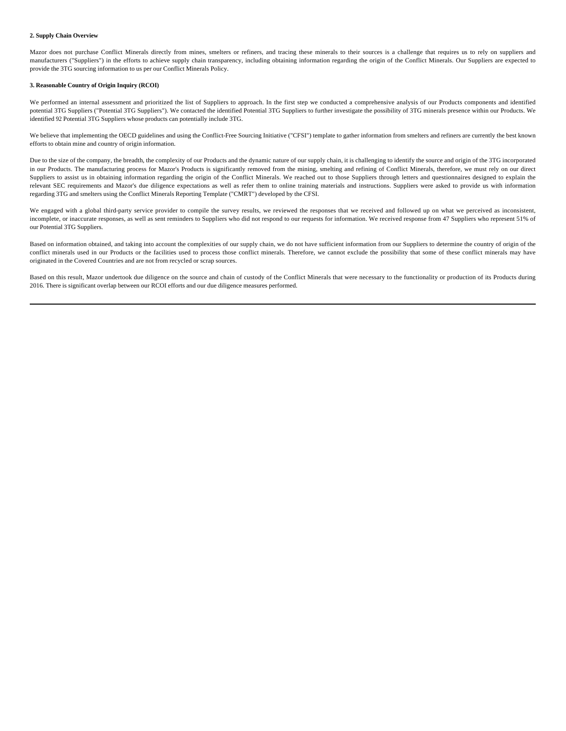## **2. Supply Chain Overview**

Mazor does not purchase Conflict Minerals directly from mines, smelters or refiners, and tracing these minerals to their sources is a challenge that requires us to rely on suppliers and manufacturers ("Suppliers") in the efforts to achieve supply chain transparency, including obtaining information regarding the origin of the Conflict Minerals. Our Suppliers are expected to provide the 3TG sourcing information to us per our Conflict Minerals Policy.

## **3. Reasonable Country of Origin Inquiry (RCOI)**

We performed an internal assessment and prioritized the list of Suppliers to approach. In the first step we conducted a comprehensive analysis of our Products components and identified potential 3TG Suppliers ("Potential 3TG Suppliers"). We contacted the identified Potential 3TG Suppliers to further investigate the possibility of 3TG minerals presence within our Products. We identified 92 Potential 3TG Suppliers whose products can potentially include 3TG.

We believe that implementing the OECD guidelines and using the Conflict-Free Sourcing Initiative ("CFSI") template to gather information from smelters and refiners are currently the best known efforts to obtain mine and country of origin information.

Due to the size of the company, the breadth, the complexity of our Products and the dynamic nature of our supply chain, it is challenging to identify the source and origin of the 3TG incorporated in our Products. The manufacturing process for Mazor's Products is significantly removed from the mining, smelting and refining of Conflict Minerals, therefore, we must rely on our direct Suppliers to assist us in obtaining information regarding the origin of the Conflict Minerals. We reached out to those Suppliers through letters and questionnaires designed to explain the relevant SEC requirements and Mazor's due diligence expectations as well as refer them to online training materials and instructions. Suppliers were asked to provide us with information regarding 3TG and smelters using the Conflict Minerals Reporting Template ("CMRT") developed by the CFSI.

We engaged with a global third-party service provider to compile the survey results, we reviewed the responses that we received and followed up on what we perceived as inconsistent, incomplete, or inaccurate responses, as well as sent reminders to Suppliers who did not respond to our requests for information. We received response from 47 Suppliers who represent 51% of our Potential 3TG Suppliers.

Based on information obtained, and taking into account the complexities of our supply chain, we do not have sufficient information from our Suppliers to determine the country of origin of the conflict minerals used in our Products or the facilities used to process those conflict minerals. Therefore, we cannot exclude the possibility that some of these conflict minerals may have originated in the Covered Countries and are not from recycled or scrap sources.

Based on this result, Mazor undertook due diligence on the source and chain of custody of the Conflict Minerals that were necessary to the functionality or production of its Products during 2016. There is significant overlap between our RCOI efforts and our due diligence measures performed.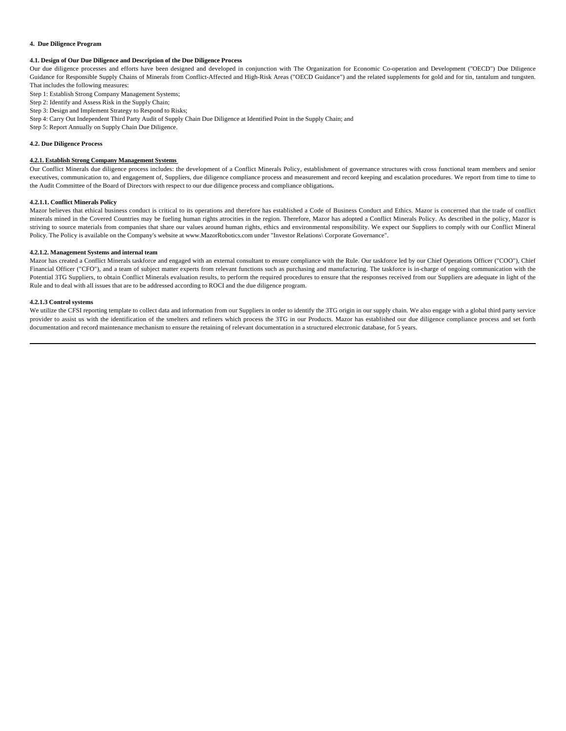#### **4. Due Diligence Program**

## **4.1. Design of Our Due Diligence and Description of the Due Diligence Process**

Our due diligence processes and efforts have been designed and developed in conjunction with The Organization for Economic Co-operation and Development ("OECD") Due Diligence Guidance for Responsible Supply Chains of Minerals from Conflict-Affected and High-Risk Areas ("OECD Guidance") and the related supplements for gold and for tin, tantalum and tungsten. That includes the following measures:

- Step 1: Establish Strong Company Management Systems;
- Step 2: Identify and Assess Risk in the Supply Chain;
- Step 3: Design and Implement Strategy to Respond to Risks;
- Step 4: Carry Out Independent Third Party Audit of Supply Chain Due Diligence at Identified Point in the Supply Chain; and
- Step 5: Report Annually on Supply Chain Due Diligence.

## **4.2. Due Diligence Process**

## **4.2.1. Establish Strong Company Management Systems**

Our Conflict Minerals due diligence process includes: the development of a Conflict Minerals Policy, establishment of governance structures with cross functional team members and senior executives, communication to, and engagement of, Suppliers, due diligence compliance process and measurement and record keeping and escalation procedures. We report from time to time to time the Audit Committee of the Board of Directors with respect to our due diligence process and compliance obligations**.**

#### **4.2.1.1. Conflict Minerals Policy**

Mazor believes that ethical business conduct is critical to its operations and therefore has established a Code of Business Conduct and Ethics. Mazor is concerned that the trade of conflict minerals mined in the Covered Countries may be fueling human rights atrocities in the region. Therefore, Mazor has adopted a Conflict Minerals Policy. As described in the policy, Mazor is striving to source materials from companies that share our values around human rights, ethics and environmental responsibility. We expect our Suppliers to comply with our Conflict Mineral Policy. The Policy is available on the Company's website at www.MazorRobotics.com under "Investor Relations\ Corporate Governance".

## **4.2.1.2. Management Systems and internal team**

Mazor has created a Conflict Minerals taskforce and engaged with an external consultant to ensure compliance with the Rule. Our taskforce led by our Chief Operations Officer ("COO"), Chief Financial Officer ("CFO"), and a team of subject matter experts from relevant functions such as purchasing and manufacturing. The taskforce is in-charge of ongoing communication with the Potential 3TG Suppliers, to obtain Conflict Minerals evaluation results, to perform the required procedures to ensure that the responses received from our Suppliers are adequate in light of the Rule and to deal with all issues that are to be addressed according to ROCI and the due diligence program.

#### **4.2.1.3 Control systems**

We utilize the CFSI reporting template to collect data and information from our Suppliers in order to identify the 3TG origin in our supply chain. We also engage with a global third party service provider to assist us with the identification of the smelters and refiners which process the 3TG in our Products. Mazor has established our due diligence compliance process and set forth documentation and record maintenance mechanism to ensure the retaining of relevant documentation in a structured electronic database, for 5 years.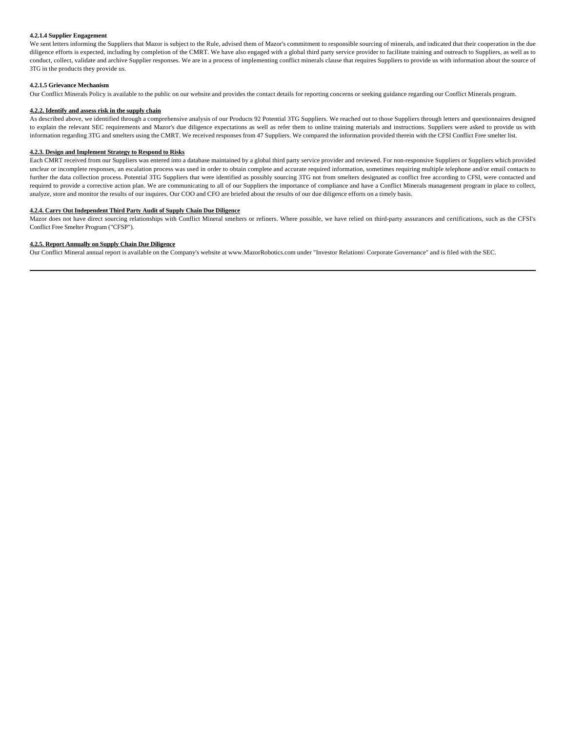## **4.2.1.4 Supplier Engagement**

We sent letters informing the Suppliers that Mazor is subject to the Rule, advised them of Mazor's commitment to responsible sourcing of minerals, and indicated that their cooperation in the due diligence efforts is expected, including by completion of the CMRT. We have also engaged with a global third party service provider to facilitate training and outreach to Suppliers, as well as to conduct, collect, validate and archive Supplier responses. We are in a process of implementing conflict minerals clause that requires Suppliers to provide us with information about the source of 3TG in the products they provide us.

#### **4.2.1.5 Grievance Mechanism**

Our Conflict Minerals Policy is available to the public on our website and provides the contact details for reporting concerns or seeking guidance regarding our Conflict Minerals program.

#### **4.2.2. Identify and assess risk in the supply chain**

As described above, we identified through a comprehensive analysis of our Products 92 Potential 3TG Suppliers. We reached out to those Suppliers through letters and questionnaires designed to explain the relevant SEC requirements and Mazor's due diligence expectations as well as refer them to online training materials and instructions. Suppliers were asked to provide us with information regarding 3TG and smelters using the CMRT. We received responses from 47 Suppliers. We compared the information provided therein with the CFSI Conflict Free smelter list.

#### **4.2.3. Design and Implement Strategy to Respond to Risks**

Each CMRT received from our Suppliers was entered into a database maintained by a global third party service provider and reviewed. For non-responsive Suppliers or Suppliers which provided unclear or incomplete responses, an escalation process was used in order to obtain complete and accurate required information, sometimes requiring multiple telephone and/or email contacts to further the data collection process. Potential 3TG Suppliers that were identified as possibly sourcing 3TG not from smelters designated as conflict free according to CFSI, were contacted and required to provide a corrective action plan. We are communicating to all of our Suppliers the importance of compliance and have a Conflict Minerals management program in place to collect, analyze, store and monitor the results of our inquires. Our COO and CFO are briefed about the results of our due diligence efforts on a timely basis.

## **4.2.4. Carry Out Independent Third Party Audit of Supply Chain Due Diligence**

Mazor does not have direct sourcing relationships with Conflict Mineral smelters or refiners. Where possible, we have relied on third-party assurances and certifications, such as the CFSI's Conflict Free Smelter Program ("CFSP").

## **4.2.5. Report Annually on Supply Chain Due Diligence**

Our Conflict Mineral annual report is available on the Company's website at www.MazorRobotics.com under "Investor Relations\ Corporate Governance" and is filed with the SEC.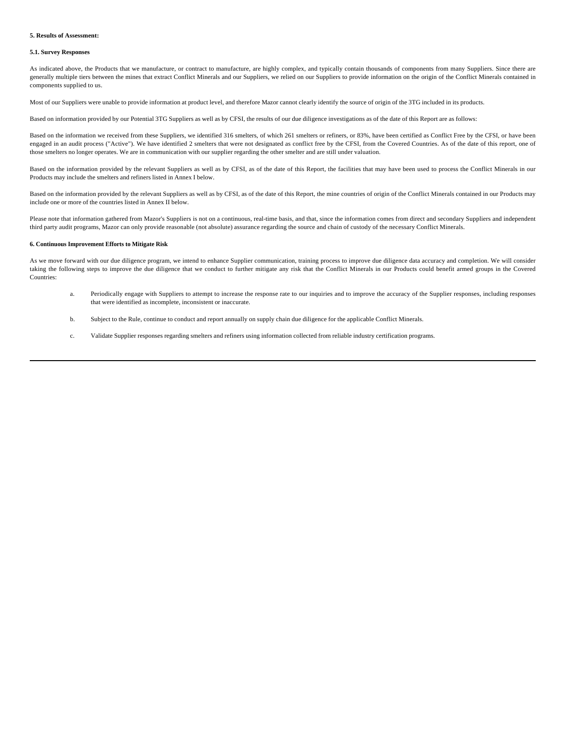#### **5. Results of Assessment:**

#### **5.1. Survey Responses**

As indicated above, the Products that we manufacture, or contract to manufacture, are highly complex, and typically contain thousands of components from many Suppliers. Since there are generally multiple tiers between the mines that extract Conflict Minerals and our Suppliers, we relied on our Suppliers to provide information on the origin of the Conflict Minerals contained in components supplied to us.

Most of our Suppliers were unable to provide information at product level, and therefore Mazor cannot clearly identify the source of origin of the 3TG included in its products.

Based on information provided by our Potential 3TG Suppliers as well as by CFSI, the results of our due diligence investigations as of the date of this Report are as follows:

Based on the information we received from these Suppliers, we identified 316 smelters, of which 261 smelters or refiners, or 83%, have been certified as Conflict Free by the CFSI, or have been engaged in an audit process ("Active"). We have identified 2 smelters that were not designated as conflict free by the CFSI, from the Covered Countries. As of the date of this report, one of those smelters no longer operates. We are in communication with our supplier regarding the other smelter and are still under valuation.

Based on the information provided by the relevant Suppliers as well as by CFSI, as of the date of this Report, the facilities that may have been used to process the Conflict Minerals in our Products may include the smelters and refiners listed in Annex I below.

Based on the information provided by the relevant Suppliers as well as by CFSI, as of the date of this Report, the mine countries of origin of the Conflict Minerals contained in our Products may include one or more of the countries listed in Annex II below.

Please note that information gathered from Mazor's Suppliers is not on a continuous, real-time basis, and that, since the information comes from direct and secondary Suppliers and independent third party audit programs, Mazor can only provide reasonable (not absolute) assurance regarding the source and chain of custody of the necessary Conflict Minerals.

## **6. Continuous Improvement Efforts to Mitigate Risk**

As we move forward with our due diligence program, we intend to enhance Supplier communication, training process to improve due diligence data accuracy and completion. We will consider taking the following steps to improve the due diligence that we conduct to further mitigate any risk that the Conflict Minerals in our Products could benefit armed groups in the Covered Countries:

- a. Periodically engage with Suppliers to attempt to increase the response rate to our inquiries and to improve the accuracy of the Supplier responses, including responses that were identified as incomplete, inconsistent or inaccurate.
- b. Subject to the Rule, continue to conduct and report annually on supply chain due diligence for the applicable Conflict Minerals.
- c. Validate Supplier responses regarding smelters and refiners using information collected from reliable industry certification programs.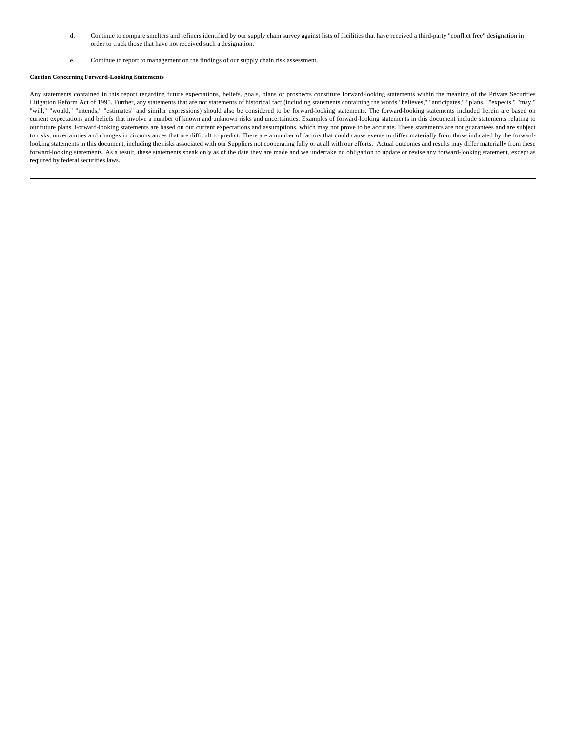- d. Continue to compare smelters and refiners identified by our supply chain survey against lists of facilities that have received a third-party "conflict free" designation in order to track those that have not received such a designation.
- e. Continue to report to management on the findings of our supply chain risk assessment.

## **Caution Concerning Forward-Looking Statements**

Any statements contained in this report regarding future expectations, beliefs, goals, plans or prospects constitute forward-looking statements within the meaning of the Private Securities Litigation Reform Act of 1995. Further, any statements that are not statements of historical fact (including statements containing the words "believes," "anticipates," "plans," "expects," "may," "will," "would," "intends," "estimates" and similar expressions) should also be considered to be forward-looking statements. The forward-looking statements included herein are based on current expectations and beliefs that involve a number of known and unknown risks and uncertainties. Examples of forward-looking statements in this document include statements relating to our future plans. Forward-looking statements are based on our current expectations and assumptions, which may not prove to be accurate. These statements are not guarantees and are subject to risks, uncertainties and changes in circumstances that are difficult to predict. There are a number of factors that could cause events to differ materially from those indicated by the forwardlooking statements in this document, including the risks associated with our Suppliers not cooperating fully or at all with our efforts. Actual outcomes and results may differ materially from these forward-looking statements. As a result, these statements speak only as of the date they are made and we undertake no obligation to update or revise any forward-looking statement, except as required by federal securities laws.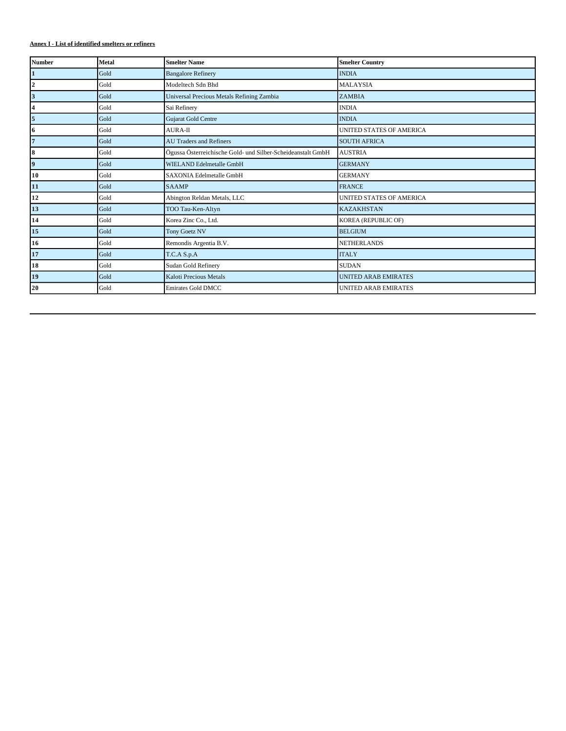## **Annex I - List of identified smelters or refiners**

| <b>Number</b>           | <b>Metal</b> | <b>Smelter Name</b>                                         | <b>Smelter Country</b>          |
|-------------------------|--------------|-------------------------------------------------------------|---------------------------------|
| $\mathbf{1}$            | Gold         | <b>Bangalore Refinery</b>                                   | <b>INDIA</b>                    |
| $\boldsymbol{2}$        | Gold         | Modeltech Sdn Bhd                                           | <b>MALAYSIA</b>                 |
| $\overline{\mathbf{3}}$ | Gold         | Universal Precious Metals Refining Zambia                   | <b>ZAMBIA</b>                   |
| $\overline{\mathbf{4}}$ | Gold         | Sai Refinery                                                | <b>INDIA</b>                    |
| 5                       | Gold         | Gujarat Gold Centre                                         | <b>INDIA</b>                    |
| 16                      | Gold         | <b>AURA-II</b>                                              | <b>UNITED STATES OF AMERICA</b> |
| $\overline{7}$          | Gold         | <b>AU Traders and Refiners</b>                              | <b>SOUTH AFRICA</b>             |
| 8                       | Gold         | Ögussa Österreichische Gold- und Silber-Scheideanstalt GmbH | <b>AUSTRIA</b>                  |
| $\overline{9}$          | Gold         | <b>WIELAND Edelmetalle GmbH</b>                             | <b>GERMANY</b>                  |
| 10                      | Gold         | SAXONIA Edelmetalle GmbH                                    | <b>GERMANY</b>                  |
| 11                      | Gold         | <b>SAAMP</b>                                                | <b>FRANCE</b>                   |
| 12                      | Gold         | Abington Reldan Metals, LLC                                 | <b>UNITED STATES OF AMERICA</b> |
| 13                      | Gold         | TOO Tau-Ken-Altyn                                           | <b>KAZAKHSTAN</b>               |
| 14                      | Gold         | Korea Zinc Co., Ltd.                                        | KOREA (REPUBLIC OF)             |
| 15                      | Gold         | Tony Goetz NV                                               | <b>BELGIUM</b>                  |
| 16                      | Gold         | Remondis Argentia B.V.                                      | <b>NETHERLANDS</b>              |
| 17                      | Gold         | T.C.A S.p.A                                                 | <b>ITALY</b>                    |
| 18                      | Gold         | Sudan Gold Refinery                                         | <b>SUDAN</b>                    |
| 19                      | Gold         | Kaloti Precious Metals                                      | <b>UNITED ARAB EMIRATES</b>     |
| 20                      | Gold         | <b>Emirates Gold DMCC</b>                                   | <b>UNITED ARAB EMIRATES</b>     |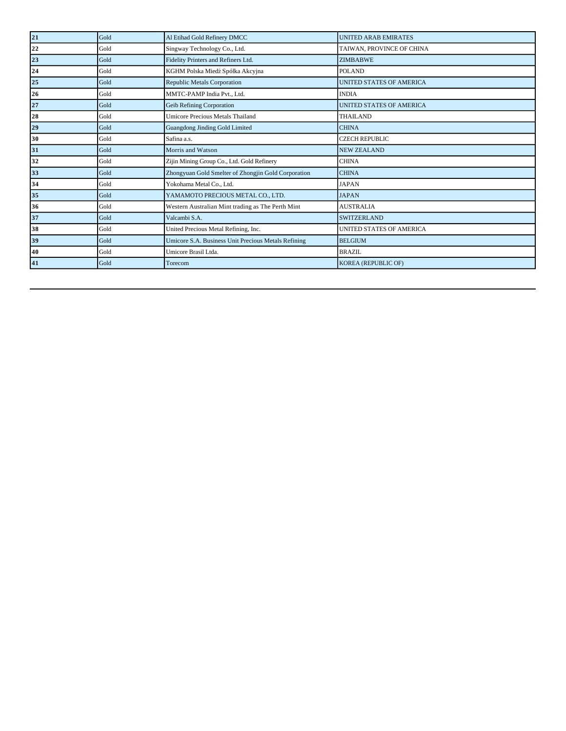| 21 | Gold | Al Etihad Gold Refinery DMCC                        | <b>UNITED ARAB EMIRATES</b>     |
|----|------|-----------------------------------------------------|---------------------------------|
| 22 | Gold | Singway Technology Co., Ltd.                        | TAIWAN, PROVINCE OF CHINA       |
| 23 | Gold | Fidelity Printers and Refiners Ltd.                 | <b>ZIMBABWE</b>                 |
| 24 | Gold | KGHM Polska Miedź Spółka Akcyjna                    | POLAND                          |
| 25 | Gold | Republic Metals Corporation                         | <b>UNITED STATES OF AMERICA</b> |
| 26 | Gold | MMTC-PAMP India Pvt., Ltd.                          | <b>INDIA</b>                    |
| 27 | Gold | Geib Refining Corporation                           | UNITED STATES OF AMERICA        |
| 28 | Gold | <b>Umicore Precious Metals Thailand</b>             | <b>THAILAND</b>                 |
| 29 | Gold | Guangdong Jinding Gold Limited                      | <b>CHINA</b>                    |
| 30 | Gold | Safina a.s.                                         | <b>CZECH REPUBLIC</b>           |
| 31 | Gold | Morris and Watson                                   | <b>NEW ZEALAND</b>              |
| 32 | Gold | Zijin Mining Group Co., Ltd. Gold Refinery          | <b>CHINA</b>                    |
| 33 | Gold | Zhongyuan Gold Smelter of Zhongjin Gold Corporation | <b>CHINA</b>                    |
| 34 | Gold | Yokohama Metal Co., Ltd.                            | <b>JAPAN</b>                    |
| 35 | Gold | YAMAMOTO PRECIOUS METAL CO., LTD.                   | <b>JAPAN</b>                    |
| 36 | Gold | Western Australian Mint trading as The Perth Mint   | <b>AUSTRALIA</b>                |
| 37 | Gold | Valcambi S.A.                                       | <b>SWITZERLAND</b>              |
| 38 | Gold | United Precious Metal Refining, Inc.                | <b>UNITED STATES OF AMERICA</b> |
| 39 | Gold | Umicore S.A. Business Unit Precious Metals Refining | <b>BELGIUM</b>                  |
| 40 | Gold | Umicore Brasil Ltda.                                | <b>BRAZIL</b>                   |
| 41 | Gold | Torecom                                             | <b>KOREA (REPUBLIC OF)</b>      |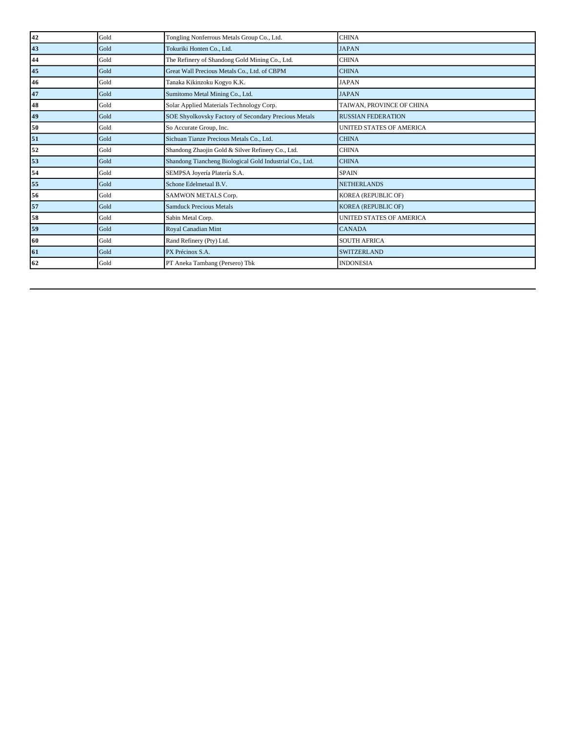| 42 | Gold | Tongling Nonferrous Metals Group Co., Ltd.              | <b>CHINA</b>                    |
|----|------|---------------------------------------------------------|---------------------------------|
| 43 | Gold | Tokuriki Honten Co., Ltd.                               | <b>JAPAN</b>                    |
| 44 | Gold | The Refinery of Shandong Gold Mining Co., Ltd.          | <b>CHINA</b>                    |
| 45 | Gold | Great Wall Precious Metals Co., Ltd. of CBPM            | <b>CHINA</b>                    |
| 46 | Gold | Tanaka Kikinzoku Kogyo K.K.                             | <b>JAPAN</b>                    |
| 47 | Gold | Sumitomo Metal Mining Co., Ltd.                         | <b>JAPAN</b>                    |
| 48 | Gold | Solar Applied Materials Technology Corp.                | TAIWAN, PROVINCE OF CHINA       |
| 49 | Gold | SOE Shyolkovsky Factory of Secondary Precious Metals    | <b>RUSSIAN FEDERATION</b>       |
| 50 | Gold | So Accurate Group, Inc.                                 | <b>UNITED STATES OF AMERICA</b> |
| 51 | Gold | Sichuan Tianze Precious Metals Co., Ltd.                | <b>CHINA</b>                    |
| 52 | Gold | Shandong Zhaojin Gold & Silver Refinery Co., Ltd.       | <b>CHINA</b>                    |
| 53 | Gold | Shandong Tiancheng Biological Gold Industrial Co., Ltd. | <b>CHINA</b>                    |
| 54 | Gold | SEMPSA Joyería Platería S.A.                            | <b>SPAIN</b>                    |
| 55 | Gold | Schone Edelmetaal B.V.                                  | <b>NETHERLANDS</b>              |
| 56 | Gold | SAMWON METALS Corp.                                     | KOREA (REPUBLIC OF)             |
| 57 | Gold | <b>Samduck Precious Metals</b>                          | KOREA (REPUBLIC OF)             |
| 58 | Gold | Sabin Metal Corp.                                       | <b>UNITED STATES OF AMERICA</b> |
| 59 | Gold | Royal Canadian Mint                                     | <b>CANADA</b>                   |
| 60 | Gold | Rand Refinery (Pty) Ltd.                                | <b>SOUTH AFRICA</b>             |
| 61 | Gold | PX Précinox S.A.                                        | <b>SWITZERLAND</b>              |
| 62 | Gold | PT Aneka Tambang (Persero) Tbk                          | <b>INDONESIA</b>                |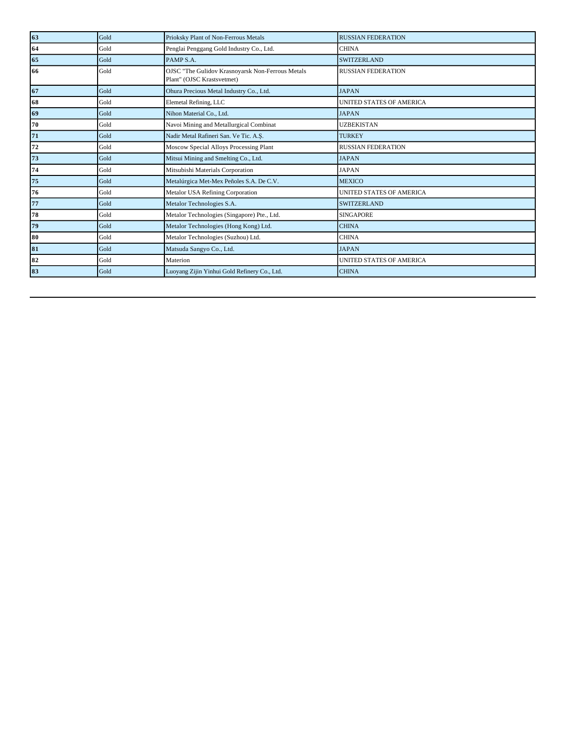| 63 | Gold | Prioksky Plant of Non-Ferrous Metals                                           | <b>RUSSIAN FEDERATION</b>       |
|----|------|--------------------------------------------------------------------------------|---------------------------------|
| 64 | Gold | Penglai Penggang Gold Industry Co., Ltd.                                       | <b>CHINA</b>                    |
| 65 | Gold | PAMP S.A.                                                                      | <b>SWITZERLAND</b>              |
| 66 | Gold | OJSC "The Gulidov Krasnoyarsk Non-Ferrous Metals<br>Plant" (OJSC Krastsvetmet) | <b>RUSSIAN FEDERATION</b>       |
| 67 | Gold | Ohura Precious Metal Industry Co., Ltd.                                        | <b>JAPAN</b>                    |
| 68 | Gold | Elemetal Refining, LLC                                                         | <b>UNITED STATES OF AMERICA</b> |
| 69 | Gold | Nihon Material Co., Ltd.                                                       | <b>JAPAN</b>                    |
| 70 | Gold | Navoi Mining and Metallurgical Combinat                                        | <b>UZBEKISTAN</b>               |
| 71 | Gold | Nadir Metal Rafineri San. Ve Tic. A.Ş.                                         | <b>TURKEY</b>                   |
| 72 | Gold | Moscow Special Alloys Processing Plant                                         | <b>RUSSIAN FEDERATION</b>       |
| 73 | Gold | Mitsui Mining and Smelting Co., Ltd.                                           | <b>JAPAN</b>                    |
| 74 | Gold | Mitsubishi Materials Corporation                                               | <b>JAPAN</b>                    |
| 75 | Gold | Metalúrgica Met-Mex Peñoles S.A. De C.V.                                       | <b>MEXICO</b>                   |
| 76 | Gold | Metalor USA Refining Corporation                                               | <b>UNITED STATES OF AMERICA</b> |
| 77 | Gold | Metalor Technologies S.A.                                                      | <b>SWITZERLAND</b>              |
| 78 | Gold | Metalor Technologies (Singapore) Pte., Ltd.                                    | <b>SINGAPORE</b>                |
| 79 | Gold | Metalor Technologies (Hong Kong) Ltd.                                          | <b>CHINA</b>                    |
| 80 | Gold | Metalor Technologies (Suzhou) Ltd.                                             | <b>CHINA</b>                    |
| 81 | Gold | Matsuda Sangyo Co., Ltd.                                                       | <b>JAPAN</b>                    |
| 82 | Gold | Materion                                                                       | <b>UNITED STATES OF AMERICA</b> |
| 83 | Gold | Luoyang Zijin Yinhui Gold Refinery Co., Ltd.                                   | <b>CHINA</b>                    |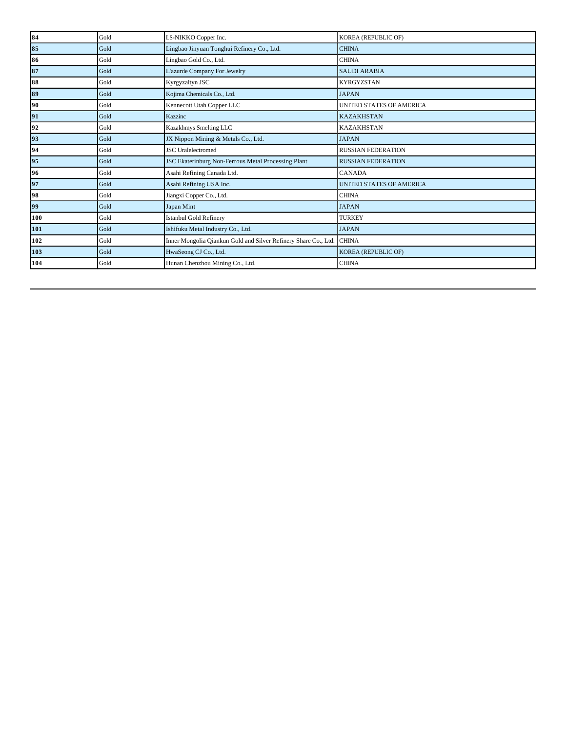| 84  | Gold | LS-NIKKO Copper Inc.                                            | KOREA (REPUBLIC OF)             |
|-----|------|-----------------------------------------------------------------|---------------------------------|
| 85  | Gold | Lingbao Jinyuan Tonghui Refinery Co., Ltd.                      | <b>CHINA</b>                    |
| 86  | Gold | Lingbao Gold Co., Ltd.                                          | <b>CHINA</b>                    |
| 87  | Gold | L'azurde Company For Jewelry                                    | <b>SAUDI ARABIA</b>             |
| 88  | Gold | Kyrgyzaltyn JSC                                                 | <b>KYRGYZSTAN</b>               |
| 89  | Gold | Kojima Chemicals Co., Ltd.                                      | <b>JAPAN</b>                    |
| 90  | Gold | Kennecott Utah Copper LLC                                       | <b>UNITED STATES OF AMERICA</b> |
| 91  | Gold | Kazzinc                                                         | <b>KAZAKHSTAN</b>               |
| 92  | Gold | Kazakhmys Smelting LLC                                          | <b>KAZAKHSTAN</b>               |
| 93  | Gold | JX Nippon Mining & Metals Co., Ltd.                             | <b>JAPAN</b>                    |
| 94  | Gold | <b>JSC</b> Uralelectromed                                       | <b>RUSSIAN FEDERATION</b>       |
| 95  | Gold | JSC Ekaterinburg Non-Ferrous Metal Processing Plant             | <b>RUSSIAN FEDERATION</b>       |
| 96  | Gold | Asahi Refining Canada Ltd.                                      | <b>CANADA</b>                   |
| 97  | Gold | Asahi Refining USA Inc.                                         | <b>UNITED STATES OF AMERICA</b> |
| 98  | Gold | Jiangxi Copper Co., Ltd.                                        | <b>CHINA</b>                    |
| 99  | Gold | Japan Mint                                                      | <b>JAPAN</b>                    |
| 100 | Gold | <b>Istanbul Gold Refinery</b>                                   | <b>TURKEY</b>                   |
| 101 | Gold | Ishifuku Metal Industry Co., Ltd.                               | <b>JAPAN</b>                    |
| 102 | Gold | Inner Mongolia Qiankun Gold and Silver Refinery Share Co., Ltd. | <b>CHINA</b>                    |
| 103 | Gold | HwaSeong CJ Co., Ltd.                                           | <b>KOREA (REPUBLIC OF)</b>      |
| 104 | Gold | Hunan Chenzhou Mining Co., Ltd.                                 | <b>CHINA</b>                    |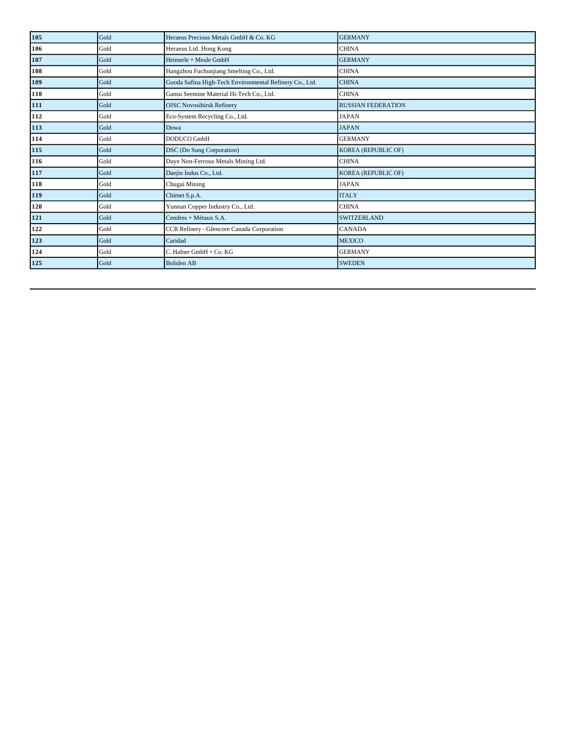| 105 | Gold | Heraeus Precious Metals GmbH & Co. KG                   | <b>GERMANY</b>             |
|-----|------|---------------------------------------------------------|----------------------------|
| 106 | Gold | Heraeus Ltd. Hong Kong                                  | <b>CHINA</b>               |
| 107 | Gold | Heimerle + Meule GmbH                                   | <b>GERMANY</b>             |
| 108 | Gold | Hangzhou Fuchunjiang Smelting Co., Ltd.                 | <b>CHINA</b>               |
| 109 | Gold | Guoda Safina High-Tech Environmental Refinery Co., Ltd. | <b>CHINA</b>               |
| 110 | Gold | Gansu Seemine Material Hi-Tech Co., Ltd.                | <b>CHINA</b>               |
| 111 | Gold | <b>OJSC Novosibirsk Refinery</b>                        | <b>RUSSIAN FEDERATION</b>  |
| 112 | Gold | Eco-System Recycling Co., Ltd.                          | <b>JAPAN</b>               |
| 113 | Gold | Dowa                                                    | <b>JAPAN</b>               |
| 114 | Gold | DODUCO GmbH                                             | <b>GERMANY</b>             |
| 115 | Gold | DSC (Do Sung Corporation)                               | <b>KOREA (REPUBLIC OF)</b> |
| 116 | Gold | Daye Non-Ferrous Metals Mining Ltd.                     | <b>CHINA</b>               |
| 117 | Gold | Daejin Indus Co., Ltd.                                  | <b>KOREA (REPUBLIC OF)</b> |
| 118 | Gold | Chugai Mining                                           | <b>JAPAN</b>               |
| 119 | Gold | Chimet S.p.A.                                           | <b>ITALY</b>               |
| 120 | Gold | Yunnan Copper Industry Co., Ltd.                        | <b>CHINA</b>               |
| 121 | Gold | Cendres + Métaux S.A.                                   | <b>SWITZERLAND</b>         |
| 122 | Gold | CCR Refinery - Glencore Canada Corporation              | <b>CANADA</b>              |
| 123 | Gold | Caridad                                                 | <b>MEXICO</b>              |
| 124 | Gold | C. Hafner GmbH + Co. KG                                 | <b>GERMANY</b>             |
| 125 | Gold | <b>Boliden AB</b>                                       | <b>SWEDEN</b>              |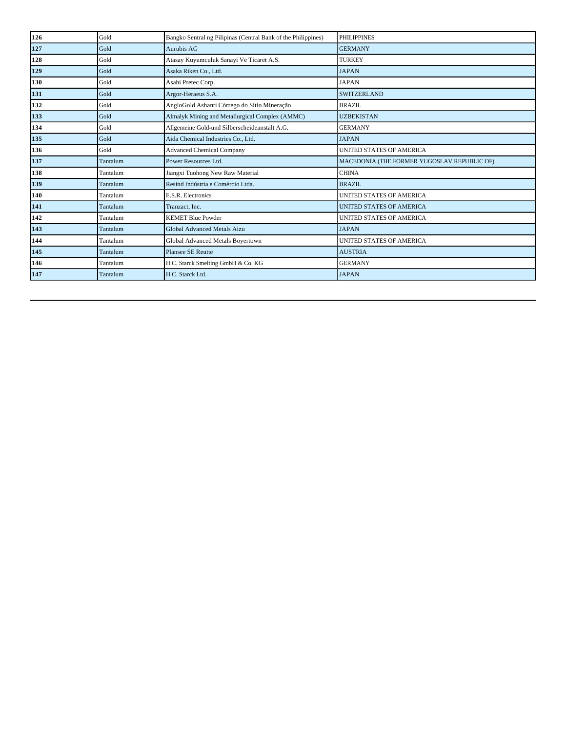| 126 | Gold     | Bangko Sentral ng Pilipinas (Central Bank of the Philippines) | <b>PHILIPPINES</b>                          |
|-----|----------|---------------------------------------------------------------|---------------------------------------------|
| 127 | Gold     | Aurubis AG                                                    | <b>GERMANY</b>                              |
| 128 | Gold     | Atasay Kuyumculuk Sanayi Ve Ticaret A.S.                      | <b>TURKEY</b>                               |
| 129 | Gold     | Asaka Riken Co., Ltd.                                         | <b>JAPAN</b>                                |
| 130 | Gold     | Asahi Pretec Corp.                                            | <b>JAPAN</b>                                |
| 131 | Gold     | Argor-Heraeus S.A.                                            | <b>SWITZERLAND</b>                          |
| 132 | Gold     | AngloGold Ashanti Córrego do Sítio Mineração                  | <b>BRAZIL</b>                               |
| 133 | Gold     | Almalyk Mining and Metallurgical Complex (AMMC)               | <b>UZBEKISTAN</b>                           |
| 134 | Gold     | Allgemeine Gold-und Silberscheideanstalt A.G.                 | <b>GERMANY</b>                              |
| 135 | Gold     | Aida Chemical Industries Co., Ltd.                            | <b>JAPAN</b>                                |
| 136 | Gold     | <b>Advanced Chemical Company</b>                              | UNITED STATES OF AMERICA                    |
| 137 | Tantalum | Power Resources Ltd.                                          | MACEDONIA (THE FORMER YUGOSLAV REPUBLIC OF) |
| 138 | Tantalum | Jiangxi Tuohong New Raw Material                              | <b>CHINA</b>                                |
| 139 | Tantalum | Resind Indústria e Comércio Ltda.                             | <b>BRAZIL</b>                               |
| 140 | Tantalum | E.S.R. Electronics                                            | <b>UNITED STATES OF AMERICA</b>             |
| 141 | Tantalum | Tranzact, Inc.                                                | <b>UNITED STATES OF AMERICA</b>             |
| 142 | Tantalum | <b>KEMET Blue Powder</b>                                      | <b>UNITED STATES OF AMERICA</b>             |
| 143 | Tantalum | Global Advanced Metals Aizu                                   | <b>JAPAN</b>                                |
| 144 | Tantalum | Global Advanced Metals Boyertown                              | <b>UNITED STATES OF AMERICA</b>             |
| 145 | Tantalum | <b>Plansee SE Reutte</b>                                      | <b>AUSTRIA</b>                              |
| 146 | Tantalum | H.C. Starck Smelting GmbH & Co. KG                            | <b>GERMANY</b>                              |
| 147 | Tantalum | H.C. Starck Ltd.                                              | <b>JAPAN</b>                                |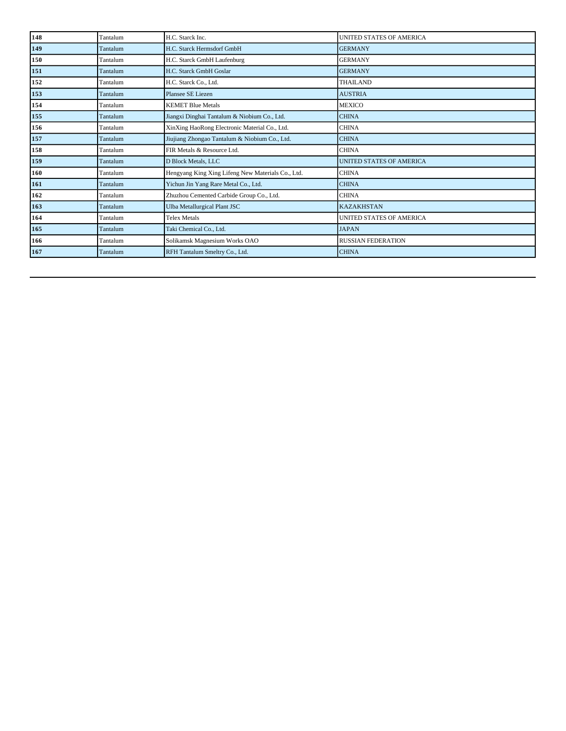| 148 | Tantalum | H.C. Starck Inc.                                  | <b>UNITED STATES OF AMERICA</b> |
|-----|----------|---------------------------------------------------|---------------------------------|
| 149 | Tantalum | H.C. Starck Hermsdorf GmbH                        | <b>GERMANY</b>                  |
| 150 | Tantalum | H.C. Starck GmbH Laufenburg                       | <b>GERMANY</b>                  |
| 151 | Tantalum | H.C. Starck GmbH Goslar                           | <b>GERMANY</b>                  |
| 152 | Tantalum | H.C. Starck Co., Ltd.                             | <b>THAILAND</b>                 |
| 153 | Tantalum | Plansee SE Liezen                                 | <b>AUSTRIA</b>                  |
| 154 | Tantalum | <b>KEMET Blue Metals</b>                          | <b>MEXICO</b>                   |
| 155 | Tantalum | Jiangxi Dinghai Tantalum & Niobium Co., Ltd.      | <b>CHINA</b>                    |
| 156 | Tantalum | XinXing HaoRong Electronic Material Co., Ltd.     | <b>CHINA</b>                    |
| 157 | Tantalum | Jiujiang Zhongao Tantalum & Niobium Co., Ltd.     | <b>CHINA</b>                    |
| 158 | Tantalum | FIR Metals & Resource Ltd.                        | <b>CHINA</b>                    |
| 159 | Tantalum | D Block Metals, LLC                               | <b>UNITED STATES OF AMERICA</b> |
| 160 | Tantalum | Hengyang King Xing Lifeng New Materials Co., Ltd. | <b>CHINA</b>                    |
| 161 | Tantalum | Yichun Jin Yang Rare Metal Co., Ltd.              | <b>CHINA</b>                    |
| 162 | Tantalum | Zhuzhou Cemented Carbide Group Co., Ltd.          | <b>CHINA</b>                    |
| 163 | Tantalum | Ulba Metallurgical Plant JSC                      | <b>KAZAKHSTAN</b>               |
| 164 | Tantalum | Telex Metals                                      | <b>UNITED STATES OF AMERICA</b> |
| 165 | Tantalum | Taki Chemical Co., Ltd.                           | <b>JAPAN</b>                    |
| 166 | Tantalum | Solikamsk Magnesium Works OAO                     | <b>RUSSIAN FEDERATION</b>       |
| 167 | Tantalum | RFH Tantalum Smeltry Co., Ltd.                    | <b>CHINA</b>                    |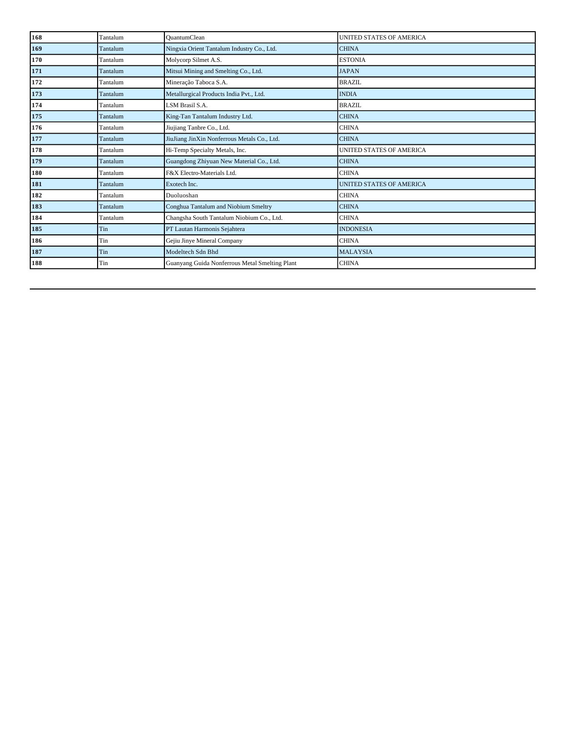| 168 | Tantalum | <b>QuantumClean</b>                            | <b>UNITED STATES OF AMERICA</b> |
|-----|----------|------------------------------------------------|---------------------------------|
| 169 | Tantalum | Ningxia Orient Tantalum Industry Co., Ltd.     | <b>CHINA</b>                    |
| 170 | Tantalum | Molycorp Silmet A.S.                           | <b>ESTONIA</b>                  |
| 171 | Tantalum | Mitsui Mining and Smelting Co., Ltd.           | <b>JAPAN</b>                    |
| 172 | Tantalum | Mineração Taboca S.A.                          | <b>BRAZIL</b>                   |
| 173 | Tantalum | Metallurgical Products India Pvt., Ltd.        | <b>INDIA</b>                    |
| 174 | Tantalum | LSM Brasil S.A.                                | <b>BRAZIL</b>                   |
| 175 | Tantalum | King-Tan Tantalum Industry Ltd.                | <b>CHINA</b>                    |
| 176 | Tantalum | Jiujiang Tanbre Co., Ltd.                      | <b>CHINA</b>                    |
| 177 | Tantalum | JiuJiang JinXin Nonferrous Metals Co., Ltd.    | <b>CHINA</b>                    |
| 178 | Tantalum | Hi-Temp Specialty Metals, Inc.                 | UNITED STATES OF AMERICA        |
| 179 | Tantalum | Guangdong Zhiyuan New Material Co., Ltd.       | <b>CHINA</b>                    |
| 180 | Tantalum | F&X Electro-Materials Ltd.                     | <b>CHINA</b>                    |
| 181 | Tantalum | Exotech Inc.                                   | <b>UNITED STATES OF AMERICA</b> |
| 182 | Tantalum | Duoluoshan                                     | <b>CHINA</b>                    |
| 183 | Tantalum | Conghua Tantalum and Niobium Smeltry           | <b>CHINA</b>                    |
| 184 | Tantalum | Changsha South Tantalum Niobium Co., Ltd.      | <b>CHINA</b>                    |
| 185 | Tin      | PT Lautan Harmonis Sejahtera                   | <b>INDONESIA</b>                |
| 186 | Tin      | Gejiu Jinye Mineral Company                    | <b>CHINA</b>                    |
| 187 | Tin      | Modeltech Sdn Bhd                              | <b>MALAYSIA</b>                 |
| 188 | Tin      | Guanyang Guida Nonferrous Metal Smelting Plant | <b>CHINA</b>                    |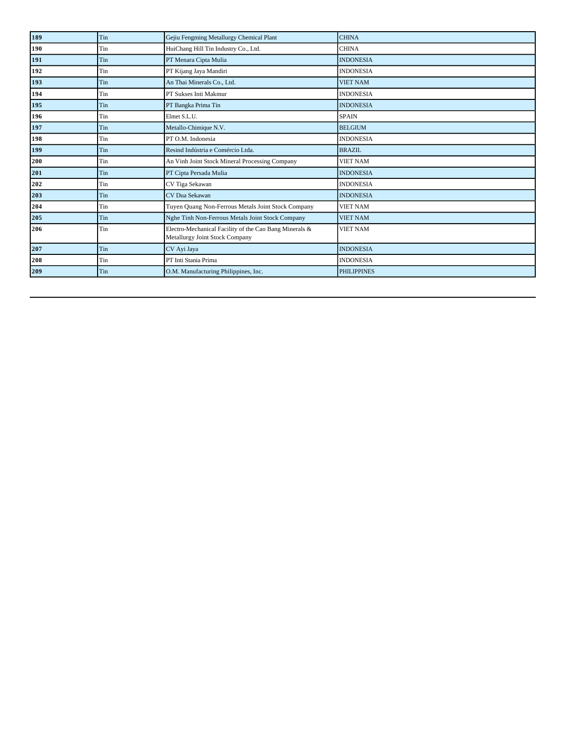| 189 | Tin | Gejiu Fengming Metallurgy Chemical Plant                                                 | <b>CHINA</b>       |
|-----|-----|------------------------------------------------------------------------------------------|--------------------|
| 190 | Tin | HuiChang Hill Tin Industry Co., Ltd.                                                     | <b>CHINA</b>       |
| 191 | Tin | PT Menara Cipta Mulia                                                                    | <b>INDONESIA</b>   |
| 192 | Tin | PT Kijang Jaya Mandiri                                                                   | <b>INDONESIA</b>   |
| 193 | Tin | An Thai Minerals Co., Ltd.                                                               | <b>VIET NAM</b>    |
| 194 | Tin | PT Sukses Inti Makmur                                                                    | <b>INDONESIA</b>   |
| 195 | Tin | PT Bangka Prima Tin                                                                      | <b>INDONESIA</b>   |
| 196 | Tin | Elmet S.L.U.                                                                             | <b>SPAIN</b>       |
| 197 | Tin | Metallo-Chimique N.V.                                                                    | <b>BELGIUM</b>     |
| 198 | Tin | PT O.M. Indonesia                                                                        | <b>INDONESIA</b>   |
| 199 | Tin | Resind Indústria e Comércio Ltda.                                                        | <b>BRAZIL</b>      |
| 200 | Tin | An Vinh Joint Stock Mineral Processing Company                                           | <b>VIET NAM</b>    |
| 201 | Tin | PT Cipta Persada Mulia                                                                   | <b>INDONESIA</b>   |
| 202 | Tin | CV Tiga Sekawan                                                                          | <b>INDONESIA</b>   |
| 203 | Tin | CV Dua Sekawan                                                                           | <b>INDONESIA</b>   |
| 204 | Tin | Tuyen Quang Non-Ferrous Metals Joint Stock Company                                       | <b>VIET NAM</b>    |
| 205 | Tin | Nghe Tinh Non-Ferrous Metals Joint Stock Company                                         | <b>VIET NAM</b>    |
| 206 | Tin | Electro-Mechanical Facility of the Cao Bang Minerals &<br>Metallurgy Joint Stock Company | <b>VIET NAM</b>    |
| 207 | Tin | CV Ayi Jaya                                                                              | <b>INDONESIA</b>   |
| 208 | Tin | PT Inti Stania Prima                                                                     | <b>INDONESIA</b>   |
| 209 | Tin | O.M. Manufacturing Philippines, Inc.                                                     | <b>PHILIPPINES</b> |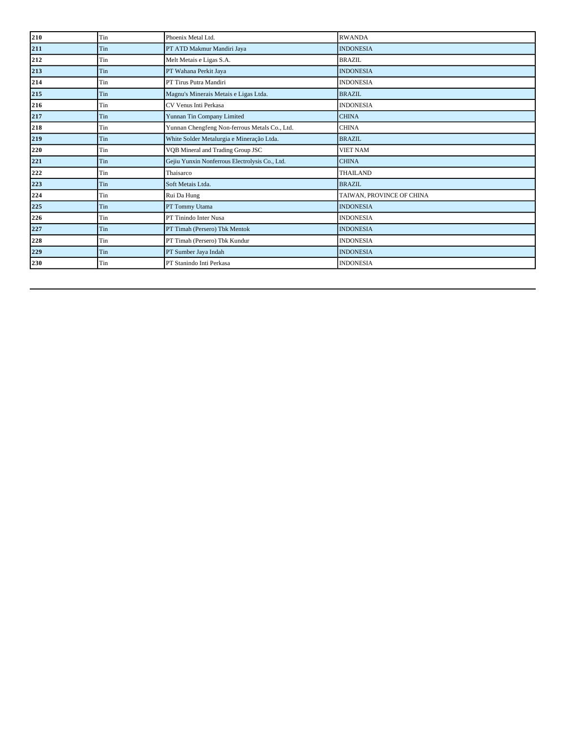| 210 | Tin | Phoenix Metal Ltd.                             | <b>RWANDA</b>             |
|-----|-----|------------------------------------------------|---------------------------|
| 211 | Tin | PT ATD Makmur Mandiri Jaya                     | <b>INDONESIA</b>          |
| 212 | Tin | Melt Metais e Ligas S.A.                       | <b>BRAZIL</b>             |
| 213 | Tin | PT Wahana Perkit Jaya                          | <b>INDONESIA</b>          |
| 214 | Tin | PT Tirus Putra Mandiri                         | <b>INDONESIA</b>          |
| 215 | Tin | Magnu's Minerais Metais e Ligas Ltda.          | <b>BRAZIL</b>             |
| 216 | Tin | CV Venus Inti Perkasa                          | <b>INDONESIA</b>          |
| 217 | Tin | Yunnan Tin Company Limited                     | <b>CHINA</b>              |
| 218 | Tin | Yunnan Chengfeng Non-ferrous Metals Co., Ltd.  | <b>CHINA</b>              |
| 219 | Tin | White Solder Metalurgia e Mineração Ltda.      | <b>BRAZIL</b>             |
| 220 | Tin | VQB Mineral and Trading Group JSC              | <b>VIET NAM</b>           |
| 221 | Tin | Gejiu Yunxin Nonferrous Electrolysis Co., Ltd. | <b>CHINA</b>              |
| 222 | Tin | Thaisarco                                      | <b>THAILAND</b>           |
| 223 | Tin | Soft Metais Ltda.                              | <b>BRAZIL</b>             |
| 224 | Tin | Rui Da Hung                                    | TAIWAN, PROVINCE OF CHINA |
| 225 | Tin | PT Tommy Utama                                 | <b>INDONESIA</b>          |
| 226 | Tin | PT Tinindo Inter Nusa                          | <b>INDONESIA</b>          |
| 227 | Tin | PT Timah (Persero) Tbk Mentok                  | <b>INDONESIA</b>          |
| 228 | Tin | PT Timah (Persero) Tbk Kundur                  | <b>INDONESIA</b>          |
| 229 | Tin | PT Sumber Jaya Indah                           | <b>INDONESIA</b>          |
| 230 | Tin | PT Stanindo Inti Perkasa                       | <b>INDONESIA</b>          |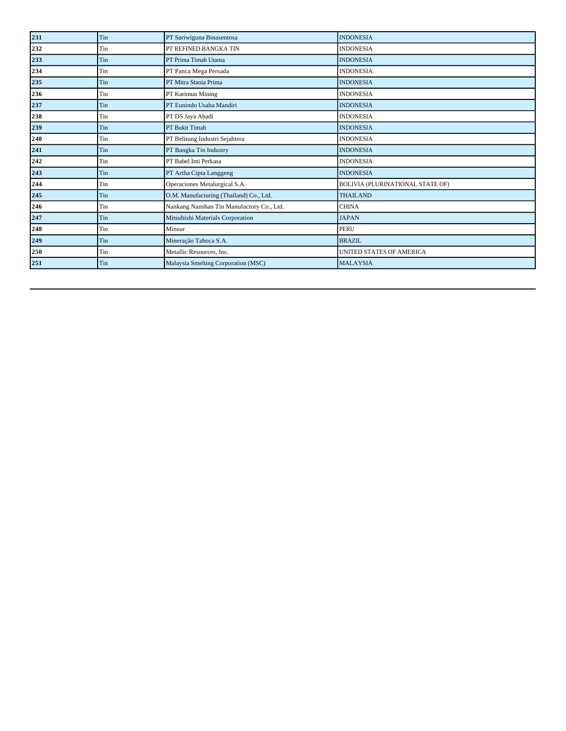| 231 | Tin | PT Sariwiguna Binasentosa                 | <b>INDONESIA</b>                        |
|-----|-----|-------------------------------------------|-----------------------------------------|
| 232 | Tin | PT REFINED BANGKA TIN                     | <b>INDONESIA</b>                        |
| 233 | Tin | PT Prima Timah Utama                      | <b>INDONESIA</b>                        |
| 234 | Tin | PT Panca Mega Persada                     | <b>INDONESIA</b>                        |
| 235 | Tin | PT Mitra Stania Prima                     | <b>INDONESIA</b>                        |
| 236 | Tin | PT Karimun Mining                         | <b>INDONESIA</b>                        |
| 237 | Tin | PT Eunindo Usaha Mandiri                  | <b>INDONESIA</b>                        |
| 238 | Tin | PT DS Jaya Abadi                          | <b>INDONESIA</b>                        |
| 239 | Tin | PT Bukit Timah                            | <b>INDONESIA</b>                        |
| 240 | Tin | PT Belitung Industri Sejahtera            | <b>INDONESIA</b>                        |
| 241 | Tin | PT Bangka Tin Industry                    | <b>INDONESIA</b>                        |
| 242 | Tin | PT Babel Inti Perkasa                     | <b>INDONESIA</b>                        |
| 243 | Tin | PT Artha Cipta Langgeng                   | <b>INDONESIA</b>                        |
| 244 | Tin | Operaciones Metalurgical S.A.             | <b>BOLIVIA (PLURINATIONAL STATE OF)</b> |
| 245 | Tin | O.M. Manufacturing (Thailand) Co., Ltd.   | <b>THAILAND</b>                         |
| 246 | Tin | Nankang Nanshan Tin Manufactory Co., Ltd. | <b>CHINA</b>                            |
| 247 | Tin | Mitsubishi Materials Corporation          | <b>JAPAN</b>                            |
| 248 | Tin | Minsur                                    | <b>PERU</b>                             |
| 249 | Tin | Mineração Taboca S.A.                     | <b>BRAZIL</b>                           |
| 250 | Tin | Metallic Resources, Inc.                  | UNITED STATES OF AMERICA                |
| 251 | Tin | Malaysia Smelting Corporation (MSC)       | <b>MALAYSIA</b>                         |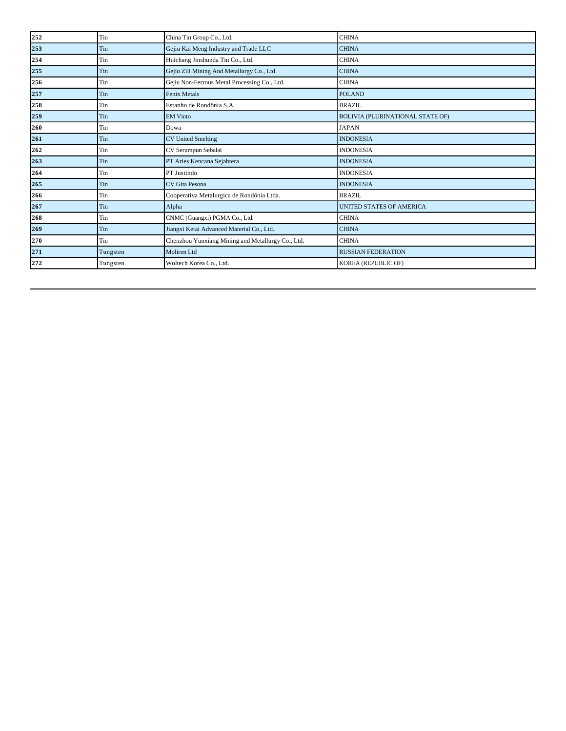| 252 | Tin      | China Tin Group Co., Ltd.                         | <b>CHINA</b>                     |
|-----|----------|---------------------------------------------------|----------------------------------|
| 253 | Tin      | Gejiu Kai Meng Industry and Trade LLC             | <b>CHINA</b>                     |
| 254 | Tin      | Huichang Jinshunda Tin Co., Ltd.                  | <b>CHINA</b>                     |
| 255 | Tin      | Gejiu Zili Mining And Metallurgy Co., Ltd.        | <b>CHINA</b>                     |
| 256 | Tin      | Gejiu Non-Ferrous Metal Processing Co., Ltd.      | <b>CHINA</b>                     |
| 257 | Tin      | Fenix Metals                                      | <b>POLAND</b>                    |
| 258 | Tin      | Estanho de Rondônia S.A.                          | <b>BRAZIL</b>                    |
| 259 | Tin      | <b>EM Vinto</b>                                   | BOLIVIA (PLURINATIONAL STATE OF) |
| 260 | Tin      | Dowa                                              | <b>JAPAN</b>                     |
| 261 | Tin      | <b>CV United Smelting</b>                         | <b>INDONESIA</b>                 |
| 262 | Tin      | CV Serumpun Sebalai                               | <b>INDONESIA</b>                 |
| 263 | Tin      | PT Aries Kencana Sejahtera                        | <b>INDONESIA</b>                 |
| 264 | Tin      | PT Justindo                                       | <b>INDONESIA</b>                 |
| 265 | Tin      | <b>CV</b> Gita Pesona                             | <b>INDONESIA</b>                 |
| 266 | Tin      | Cooperativa Metalurgica de Rondônia Ltda.         | <b>BRAZIL</b>                    |
| 267 | Tin      | Alpha                                             | <b>UNITED STATES OF AMERICA</b>  |
| 268 | Tin      | CNMC (Guangxi) PGMA Co., Ltd.                     | <b>CHINA</b>                     |
| 269 | Tin      | Jiangxi Ketai Advanced Material Co., Ltd.         | <b>CHINA</b>                     |
| 270 | Tin      | Chenzhou Yunxiang Mining and Metallurgy Co., Ltd. | <b>CHINA</b>                     |
| 271 | Tungsten | Moliren Ltd                                       | <b>RUSSIAN FEDERATION</b>        |
| 272 | Tungsten | Woltech Korea Co., Ltd.                           | KOREA (REPUBLIC OF)              |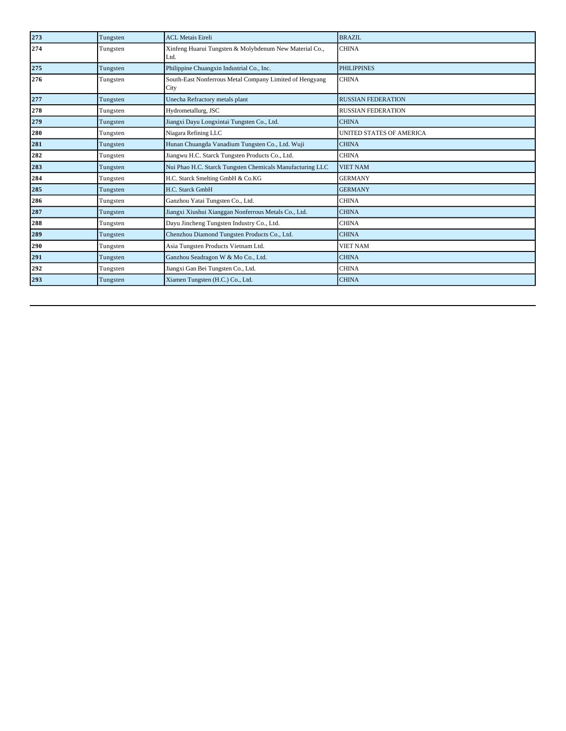| 273 | Tungsten | <b>ACL Metais Eireli</b>                                        | <b>BRAZIL</b>                   |
|-----|----------|-----------------------------------------------------------------|---------------------------------|
| 274 | Tungsten | Xinfeng Huarui Tungsten & Molybdenum New Material Co.,<br>Ltd.  | <b>CHINA</b>                    |
| 275 | Tungsten | Philippine Chuangxin Industrial Co., Inc.                       | <b>PHILIPPINES</b>              |
| 276 | Tungsten | South-East Nonferrous Metal Company Limited of Hengyang<br>City | <b>CHINA</b>                    |
| 277 | Tungsten | Unecha Refractory metals plant                                  | <b>RUSSIAN FEDERATION</b>       |
| 278 | Tungsten | Hydrometallurg, JSC                                             | <b>RUSSIAN FEDERATION</b>       |
| 279 | Tungsten | Jiangxi Dayu Longxintai Tungsten Co., Ltd.                      | <b>CHINA</b>                    |
| 280 | Tungsten | Niagara Refining LLC                                            | <b>UNITED STATES OF AMERICA</b> |
| 281 | Tungsten | Hunan Chuangda Vanadium Tungsten Co., Ltd. Wuji                 | <b>CHINA</b>                    |
| 282 | Tungsten | Jiangwu H.C. Starck Tungsten Products Co., Ltd.                 | <b>CHINA</b>                    |
| 283 | Tungsten | Nui Phao H.C. Starck Tungsten Chemicals Manufacturing LLC       | <b>VIET NAM</b>                 |
| 284 | Tungsten | H.C. Starck Smelting GmbH & Co.KG                               | <b>GERMANY</b>                  |
| 285 | Tungsten | H.C. Starck GmbH                                                | <b>GERMANY</b>                  |
| 286 | Tungsten | Ganzhou Yatai Tungsten Co., Ltd.                                | <b>CHINA</b>                    |
| 287 | Tungsten | Jiangxi Xiushui Xianggan Nonferrous Metals Co., Ltd.            | <b>CHINA</b>                    |
| 288 | Tungsten | Dayu Jincheng Tungsten Industry Co., Ltd.                       | <b>CHINA</b>                    |
| 289 | Tungsten | Chenzhou Diamond Tungsten Products Co., Ltd.                    | <b>CHINA</b>                    |
| 290 | Tungsten | Asia Tungsten Products Vietnam Ltd.                             | <b>VIET NAM</b>                 |
| 291 | Tungsten | Ganzhou Seadragon W & Mo Co., Ltd.                              | <b>CHINA</b>                    |
| 292 | Tungsten | Jiangxi Gan Bei Tungsten Co., Ltd.                              | <b>CHINA</b>                    |
| 293 | Tungsten | Xiamen Tungsten (H.C.) Co., Ltd.                                | <b>CHINA</b>                    |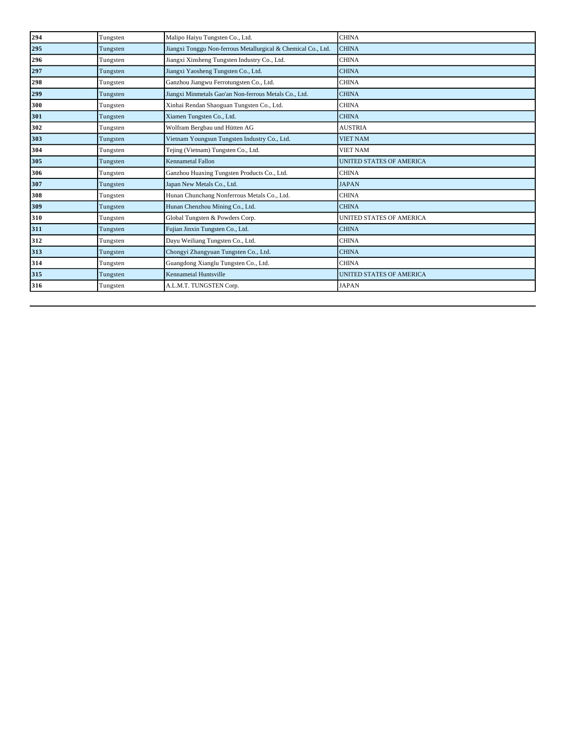| 294 | Tungsten | Malipo Haiyu Tungsten Co., Ltd.                               | <b>CHINA</b>                    |
|-----|----------|---------------------------------------------------------------|---------------------------------|
| 295 | Tungsten | Jiangxi Tonggu Non-ferrous Metallurgical & Chemical Co., Ltd. | <b>CHINA</b>                    |
| 296 | Tungsten | Jiangxi Xinsheng Tungsten Industry Co., Ltd.                  | <b>CHINA</b>                    |
| 297 | Tungsten | Jiangxi Yaosheng Tungsten Co., Ltd.                           | <b>CHINA</b>                    |
| 298 | Tungsten | Ganzhou Jiangwu Ferrotungsten Co., Ltd.                       | <b>CHINA</b>                    |
| 299 | Tungsten | Jiangxi Minmetals Gao'an Non-ferrous Metals Co., Ltd.         | <b>CHINA</b>                    |
| 300 | Tungsten | Xinhai Rendan Shaoguan Tungsten Co., Ltd.                     | <b>CHINA</b>                    |
| 301 | Tungsten | Xiamen Tungsten Co., Ltd.                                     | <b>CHINA</b>                    |
| 302 | Tungsten | Wolfram Bergbau und Hütten AG                                 | <b>AUSTRIA</b>                  |
| 303 | Tungsten | Vietnam Youngsun Tungsten Industry Co., Ltd.                  | <b>VIET NAM</b>                 |
| 304 | Tungsten | Tejing (Vietnam) Tungsten Co., Ltd.                           | <b>VIET NAM</b>                 |
| 305 | Tungsten | <b>Kennametal Fallon</b>                                      | <b>UNITED STATES OF AMERICA</b> |
| 306 | Tungsten | Ganzhou Huaxing Tungsten Products Co., Ltd.                   | <b>CHINA</b>                    |
| 307 | Tungsten | Japan New Metals Co., Ltd.                                    | <b>JAPAN</b>                    |
| 308 | Tungsten | Hunan Chunchang Nonferrous Metals Co., Ltd.                   | <b>CHINA</b>                    |
| 309 | Tungsten | Hunan Chenzhou Mining Co., Ltd.                               | <b>CHINA</b>                    |
| 310 | Tungsten | Global Tungsten & Powders Corp.                               | <b>UNITED STATES OF AMERICA</b> |
| 311 | Tungsten | Fujian Jinxin Tungsten Co., Ltd.                              | <b>CHINA</b>                    |
| 312 | Tungsten | Dayu Weiliang Tungsten Co., Ltd.                              | <b>CHINA</b>                    |
| 313 | Tungsten | Chongyi Zhangyuan Tungsten Co., Ltd.                          | <b>CHINA</b>                    |
| 314 | Tungsten | Guangdong Xianglu Tungsten Co., Ltd.                          | <b>CHINA</b>                    |
| 315 | Tungsten | <b>Kennametal Huntsville</b>                                  | <b>UNITED STATES OF AMERICA</b> |
| 316 | Tungsten | A.L.M.T. TUNGSTEN Corp.                                       | <b>JAPAN</b>                    |